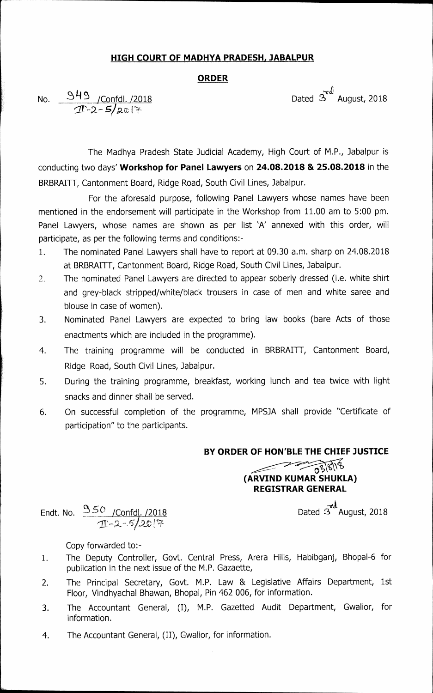### **HIGH COURT OF MADHYA PRADESH, JABALPUR**

### **ORDER**

Dated 3<sup>4</sup> August, 2018

No. 373 / Confdl. /2018  $5/20$ 

The Madhya Pradesh State Judicial Academy, High Court of M.P., Jabalpur is conducting two days' **Workshop for Panel Lawyers** on **24.08.2018 & 25.08.2018** in the BRBRAITT, Cantonment Board, Ridge Road, South Civil Lines, Jabalpur.

For the aforesaid purpose, following Panel Lawyers whose names have been mentioned in the endorsement will participate in the Workshop from 11.00 am to 5:00 pm. Panel Lawyers, whose names are shown as per list 'A' annexed with this order, will participate, as per the following terms and conditions:-

- 1. The nominated Panel Lawyers shall have to report at 09.30 a.m. sharp on 24.08.2018 at BRBRAITT, Cantonment Board, Ridge Road, South Civil Lines, Jabalpur.
- 2. The nominated Panel Lawyers are directed to appear soberly dressed (i.e. white shirt and grey-black stripped/white/black trousers in case of men and white saree and blouse in case of women).
- 3. Nominated Panel Lawyers are expected to bring law books (bare Acts of those enactments which are included in the programme).
- 4. The training programme will be conducted in BRBRAITT, Cantonment Board, Ridge Road, South Civil Lines, Jabalpur.
- 5. During the training programme, breakfast, working lunch and tea twice with light snacks and dinner shall be served.
- 6. On successful completion of the programme, MPSJA shall provide "Certificate of participation" to the participants.

### **BY ORDER OF HON'BLE THE CHIEF JUSTICE**

# *C<sub>2</sub>* (ARVIND KUMAR SHUKLA) **REGISTRAR GENERAL**

Endt. No.  $3\frac{50}{2}$ /Confd. /2018  $\frac{1}{2}$ 

Copy forwarded to:-

- 1. The Deputy Controller, Govt. Central Press, Arera Hills, Habibganj, Bhopal-6 for publication in the next issue of the M.P. Gazaette,
- 2. The Principal Secretary, Govt. M.P. Law & Legislative Affairs Department, 1st Floor, Vindhyachal Bhawan, Bhopal, Pin 462 006, for information.
- 3. The Accountant General, (I), M.P. Gazetted Audit Department, Gwalior, for information.
- 4. The Accountant General, (II), Gwalior, for information.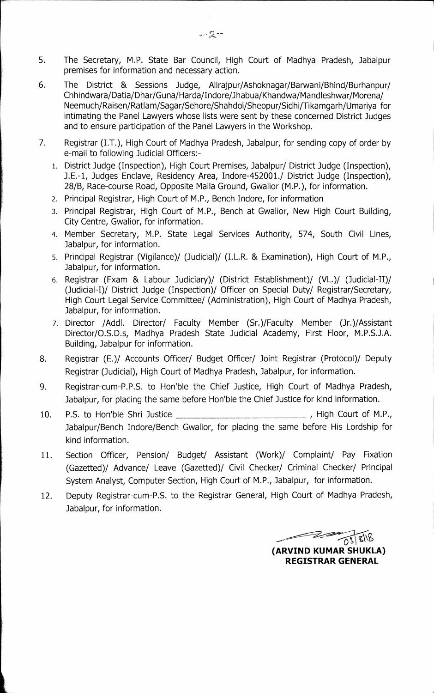- 5. The Secretary, M.P. State Bar Council, High Court of Madhya Pradesh, Jabalpur premises for information and necessary action.
- 6. The District & Sessions Judge, Alirajpur/Ashoknagar/Barwani/Bhind/Burhanpur/ Chhindwara/Datia/Dhar/Guna/Harda/Indore/Jhabua/Khandwa/Mandleshwar/Morena/ Neemuch/Raisen/Ratlam/Sagar/Sehore/Shahdol/Sheopur/Sidhi/Tikamgarh/Umariya for intimating the Panel Lawyers whose lists were sent by these concerned District Judges and to ensure participation of the Panel Lawyers in the Workshop.
- 7. Registrar (I.T.), High Court of Madhya Pradesh, Jabalpur, for sending copy of order by e-mail to following Judicial Officers:-
	- 1. District Judge (Inspection), High Court Premises, Jabalpur/ District Judge (Inspection), J.E.-1, Judges Enclave, Residency Area, Indore-452001./ District Judge (Inspection), 28/B, Race-course Road, Opposite Maila Ground, Gwalior (M.P.), for information.
	- 2. Principal Registrar, High Court of M.P., Bench Indore, for information
	- 3. Principal Registrar, High Court of M.P., Bench at Gwalior, New High Court Building, City Centre, Gwalior, for information.
	- 4. Member Secretary, M.P. State Legal Services Authority, 574, South Civil Lines, Jabalpur, for information.
	- 5. Principal Registrar (Vigilance)/ (Judicial)/ (I.L.R. & Examination), High Court of M.P., Jabalpur, for information.
	- 6. Registrar (Exam & Labour Judiciary)/ (District Establishment)/ (VL.)/ (Judicial-I)/ District Judge (Inspection)/ Officer on Special Duty/ Registrar/Secretary, High Court Legal Service Committee/ (Administration), High Court of Madhya Pradesh, Jabalpur, for information.
	- 7. Director /Addl. Director/ Faculty Member (Sr.)/Faculty Member (Jr.)/Assistant Director/O.S.D.s, Madhya Pradesh State Judicial Academy, First Floor, M.P.S.J.A. Building, Jabalpur for information.
- 8. Registrar (E.)/ Accounts Officer/ Budget Officer/ Joint Registrar (Protocol)/ Deputy Registrar (Judicial), High Court of Madhya Pradesh, Jabalpur, for information.
- 9. Registrar-cum-P.P.S. to Hon'ble the Chief Justice, High Court of Madhya Pradesh, Jabalpur, for placing the same before Hon'ble the Chief Justice for kind information.
- 10. P.S. to Hon'ble Shri Justice \_\_\_\_\_\_\_\_\_\_\_\_\_\_\_\_\_\_\_\_\_\_\_\_\_\_\_\_\_\_\_\_, High Court of M.P., Jabalpur/Bench Indore/Bench Gwalior, for placing the same before His Lordship for kind information.
- 11. Section Officer, Pension/ Budget/ Assistant (Work)/ Complaint/ Pay Fixation (Gazetted)/ Advance/ Leave (Gazetted)/ Civil Checker/ Criminal Checker/ Principal System Analyst, Computer Section, High Court of M.P., Jabalpur, for information.
- 12. Deputy Registrar-cum-P.S. to the Registrar General, High Court of Madhya Pradesh, Jabalpur, for information.

 $\sqrt{0}$ **(ARVIND KUMAR SHUKLA) REGISTRAR GENERAL**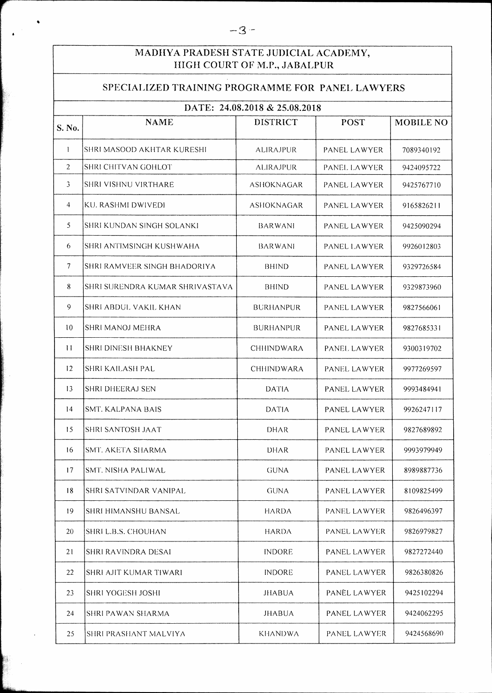## **MADHYA PRADESH STATE JUDICIAL ACADEMY, HIGH COURT OF M.P., JABALPUR**

## **SPECIALIZED TRAINING PROGRAMME FOR PANEL LAWYERS**

| DATE: 24.08.2018 & 25.08.2018 |                                 |                   |                     |                  |  |  |  |
|-------------------------------|---------------------------------|-------------------|---------------------|------------------|--|--|--|
| S. No.                        | <b>NAME</b>                     | <b>DISTRICT</b>   | <b>POST</b>         | <b>MOBILE NO</b> |  |  |  |
| $\mathbf{I}$                  | SHRI MASOOD AKHTAR KURESHI      | ALIRAJPUR         | PANEL LAWYER        | 7089340192       |  |  |  |
| $\overline{2}$                | SHRI CHITVAN GOHLOT             | ALIRAJPUR         | PANEL LAWYER        | 9424095722       |  |  |  |
| 3                             | SHRI VISHNU VIRTHARE            | <b>ASHOKNAGAR</b> | PANEL LAWYER        | 9425767710       |  |  |  |
| 4                             | KU. RASHMI DWIVEDI              | ASHOKNAGAR        | <b>PANEL LAWYER</b> | 9165826211       |  |  |  |
| 5                             | SHRI KUNDAN SINGH SOLANKI       | BARWANI           | PANEL LAWYER        | 9425090294       |  |  |  |
| 6                             | SHRI ANTIMSINGH KUSHWAHA        | BARWANI           | PANEL LAWYER        | 9926012803       |  |  |  |
| 7                             | SHRI RAMVEER SINGH BHADORIYA    | BHIND             | PANEL LAWYER        | 9329726584       |  |  |  |
| 8                             | SHRI SURENDRA KUMAR SHRIVASTAVA | BHIND             | PANEL LAWYER        | 9329873960       |  |  |  |
| 9                             | SHRI ABDUL VAKIL KHAN           | <b>BURHANPUR</b>  | PANEL LAWYER        | 9827566061       |  |  |  |
| 10                            | SHRI MANOJ MEHRA                | <b>BURHANPUR</b>  | PANEL LAWYER        | 9827685331       |  |  |  |
| 11                            | SHRI DINESH BHAKNEY             | <b>CHHINDWARA</b> | PANEL LAWYER        | 9300319702       |  |  |  |
| 12                            | <b>SHRI KAILASH PAL</b>         | CHHINDWARA        | PANEL LAWYER        | 9977269597       |  |  |  |
| 13                            | <b>SHRI DHEERAJ SEN</b>         | <b>DATIA</b>      | PANEL LAWYER        | 9993484941       |  |  |  |
| 14                            | SMT. KALPANA BAIS               | <b>DATIA</b>      | PANEL LAWYER        | 9926247117       |  |  |  |
| 15                            | SHRI SANTOSH JAAT               | DHAR              | <b>PANEL LAWYER</b> | 9827689892       |  |  |  |
| 16                            | SMT. AKETA SHARMA               | DHAR              | PANEL LAWYER        | 9993979949       |  |  |  |
| 17                            | SMT. NISHA PALIWAL              | <b>GUNA</b>       | PANEL LAWYER        | 8989887736       |  |  |  |
| 18                            | SHRI SATVINDAR VANIPAL          | <b>GUNA</b>       | <b>PANEL LAWYER</b> | 8109825499       |  |  |  |
| 19                            | SHRI HIMANSHU BANSAL            | <b>HARDA</b>      | PANEL LAWYER        | 9826496397       |  |  |  |
| 20                            | SHRI L.B.S. CHOUHAN             | <b>HARDA</b>      | PANEL LAWYER        | 9826979827       |  |  |  |
| 21                            | SHRI RAVINDRA DESAI             | <b>INDORE</b>     | PANEL LAWYER        | 9827272440       |  |  |  |
| 22                            | SHRI AJIT KUMAR TIWARI          | <b>INDORE</b>     | <b>PANEL LAWYER</b> | 9826380826       |  |  |  |
| 23                            | <b>SHRI YOGESH JOSHI</b>        | <b>JHABUA</b>     | PANÊL LAWYER        | 9425102294       |  |  |  |
| 24                            | <b>SHRI PAWAN SHARMA</b>        | <b>JHABUA</b>     | <b>PANEL LAWYER</b> | 9424062295       |  |  |  |
| 25                            | SHRI PRASHANT MALVIYA           | <b>KHANDWA</b>    | PANEL LAWYER        | 9424568690       |  |  |  |